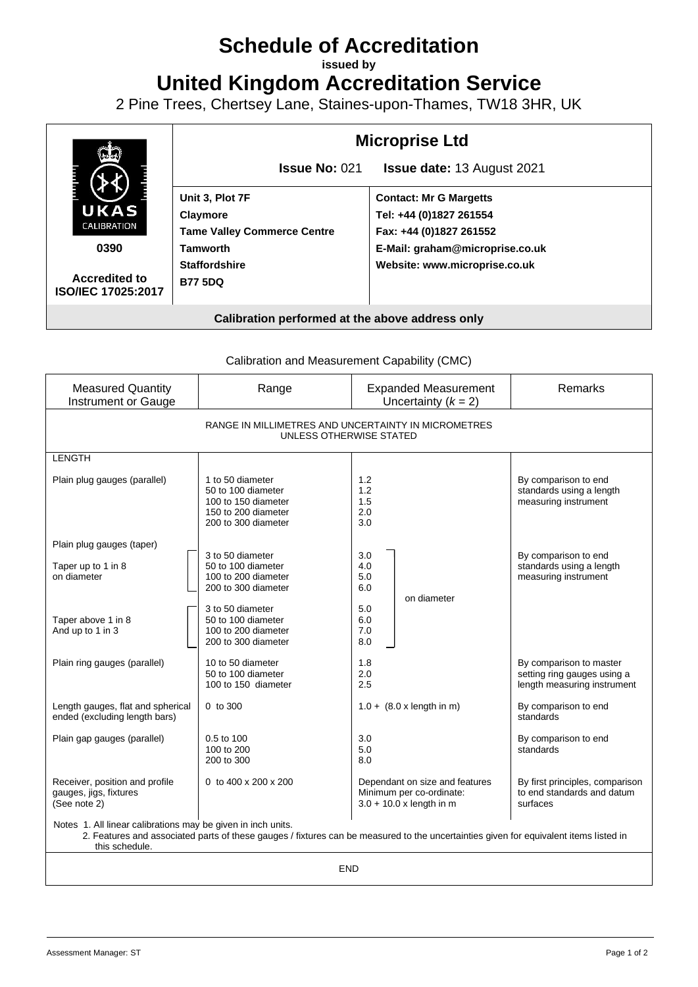# **Schedule of Accreditation**

**issued by**

**United Kingdom Accreditation Service**

2 Pine Trees, Chertsey Lane, Staines-upon-Thames, TW18 3HR, UK



Calibration and Measurement Capability (CMC)

| <b>Measured Quantity</b><br>Instrument or Gauge                                                                                                                                                       | Range                                                                                                       | <b>Expanded Measurement</b><br>Uncertainty $(k = 2)$                                     | Remarks                                                                               |
|-------------------------------------------------------------------------------------------------------------------------------------------------------------------------------------------------------|-------------------------------------------------------------------------------------------------------------|------------------------------------------------------------------------------------------|---------------------------------------------------------------------------------------|
| RANGE IN MILLIMETRES AND UNCERTAINTY IN MICROMETRES<br>UNLESS OTHERWISE STATED                                                                                                                        |                                                                                                             |                                                                                          |                                                                                       |
| <b>LENGTH</b>                                                                                                                                                                                         |                                                                                                             |                                                                                          |                                                                                       |
| Plain plug gauges (parallel)                                                                                                                                                                          | 1 to 50 diameter<br>50 to 100 diameter<br>100 to 150 diameter<br>150 to 200 diameter<br>200 to 300 diameter | 1.2<br>1.2<br>1.5<br>2.0<br>3.0                                                          | By comparison to end<br>standards using a length<br>measuring instrument              |
| Plain plug gauges (taper)                                                                                                                                                                             |                                                                                                             |                                                                                          |                                                                                       |
| Taper up to 1 in 8<br>on diameter                                                                                                                                                                     | 3 to 50 diameter<br>50 to 100 diameter<br>100 to 200 diameter<br>200 to 300 diameter                        | 3.0<br>4.0<br>5.0<br>6.0<br>on diameter                                                  | By comparison to end<br>standards using a length<br>measuring instrument              |
| Taper above 1 in 8<br>And up to 1 in 3                                                                                                                                                                | 3 to 50 diameter<br>50 to 100 diameter<br>100 to 200 diameter<br>200 to 300 diameter                        | 5.0<br>6.0<br>7.0<br>8.0                                                                 |                                                                                       |
| Plain ring gauges (parallel)                                                                                                                                                                          | 10 to 50 diameter<br>50 to 100 diameter<br>100 to 150 diameter                                              | 1.8<br>2.0<br>2.5                                                                        | By comparison to master<br>setting ring gauges using a<br>length measuring instrument |
| Length gauges, flat and spherical<br>ended (excluding length bars)                                                                                                                                    | 0 to 300                                                                                                    | $1.0 + (8.0 \times \text{length in m})$                                                  | By comparison to end<br>standards                                                     |
| Plain gap gauges (parallel)                                                                                                                                                                           | 0.5 to 100<br>100 to 200<br>200 to 300                                                                      | 3.0<br>5.0<br>8.0                                                                        | By comparison to end<br>standards                                                     |
| Receiver, position and profile<br>gauges, jigs, fixtures<br>(See note 2)                                                                                                                              | 0 to 400 x 200 x 200                                                                                        | Dependant on size and features<br>Minimum per co-ordinate:<br>$3.0 + 10.0$ x length in m | By first principles, comparison<br>to end standards and datum<br>surfaces             |
| Notes 1. All linear calibrations may be given in inch units.<br>2. Features and associated parts of these gauges / fixtures can be measured to the uncertainties given for equivalent items listed in |                                                                                                             |                                                                                          |                                                                                       |

this schedule.

END